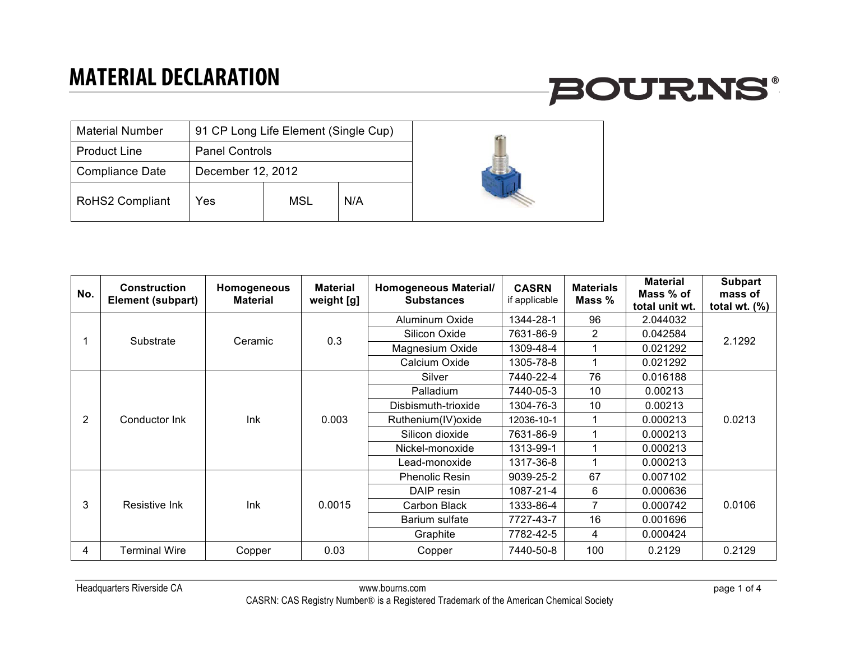## **BOURNS®**

| <b>Material Number</b> | 91 CP Long Life Element (Single Cup) |     |     |  |  |
|------------------------|--------------------------------------|-----|-----|--|--|
| <b>Product Line</b>    | <b>Panel Controls</b>                |     |     |  |  |
| Compliance Date        | December 12, 2012                    |     |     |  |  |
| <b>RoHS2 Compliant</b> | Yes                                  | MSL | N/A |  |  |

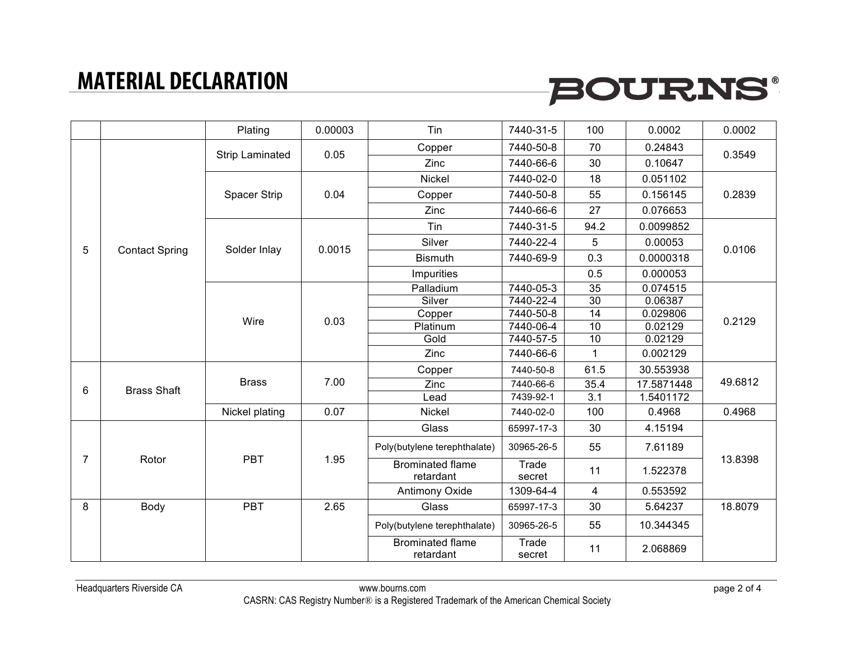# **BOURNS®**

|                |                       | Plating         | 0.00003 | Tin                                  | 7440-31-5       | 100              | 0.0002     | 0.0002  |
|----------------|-----------------------|-----------------|---------|--------------------------------------|-----------------|------------------|------------|---------|
|                | <b>Contact Spring</b> | Strip Laminated | 0.05    | Copper                               | 7440-50-8       | 70               | 0.24843    | 0.3549  |
|                |                       |                 |         | Zinc                                 | 7440-66-6       | 30               | 0.10647    |         |
|                |                       |                 | 0.04    | Nickel                               | 7440-02-0       | 18               | 0.051102   | 0.2839  |
|                |                       | Spacer Strip    |         | Copper                               | 7440-50-8       | 55               | 0.156145   |         |
|                |                       |                 |         | Zinc                                 | 7440-66-6       | 27               | 0.076653   |         |
|                |                       | Solder Inlay    | 0.0015  | Tin                                  | 7440-31-5       | 94.2             | 0.0099852  | 0.0106  |
|                |                       |                 |         | Silver                               | 7440-22-4       | 5                | 0.00053    |         |
| 5              |                       |                 |         | <b>Bismuth</b>                       | 7440-69-9       | 0.3              | 0.0000318  |         |
|                |                       |                 |         | Impurities                           |                 | 0.5              | 0.000053   |         |
|                |                       |                 | 0.03    | Palladium                            | 7440-05-3       | 35               | 0.074515   | 0.2129  |
|                |                       | Wire            |         | Silver                               | 7440-22-4       | 30               | 0.06387    |         |
|                |                       |                 |         | Copper                               | 7440-50-8       | 14               | 0.029806   |         |
|                |                       |                 |         | Platinum                             | 7440-06-4       | 10               | 0.02129    |         |
|                |                       |                 |         | Gold                                 | 7440-57-5       | $\overline{10}$  | 0.02129    |         |
|                |                       |                 |         | Zinc                                 | 7440-66-6       | 1                | 0.002129   |         |
|                | <b>Brass Shaft</b>    | <b>Brass</b>    | 7.00    | Copper                               | 7440-50-8       | 61.5             | 30.553938  | 49.6812 |
| 6              |                       |                 |         | Zinc                                 | 7440-66-6       | 35.4             | 17.5871448 |         |
|                |                       |                 |         | Lead                                 | 7439-92-1       | $\overline{3.1}$ | 1.5401172  |         |
|                |                       | Nickel plating  | 0.07    | Nickel                               | 7440-02-0       | 100              | 0.4968     | 0.4968  |
| $\overline{7}$ | Rotor                 | <b>PBT</b>      | 1.95    | Glass                                | 65997-17-3      | 30               | 4.15194    | 13.8398 |
|                |                       |                 |         | Poly(butylene terephthalate)         | 30965-26-5      | 55               | 7.61189    |         |
|                |                       |                 |         | <b>Brominated flame</b><br>retardant | Trade<br>secret | 11               | 1.522378   |         |
|                |                       |                 |         | <b>Antimony Oxide</b>                | 1309-64-4       | 4                | 0.553592   |         |
| 8              | Body                  | <b>PBT</b>      | 2.65    | Glass                                | 65997-17-3      | 30               | 5.64237    | 18.8079 |
|                |                       |                 |         | Poly(butylene terephthalate)         | 30965-26-5      | 55               | 10.344345  |         |
|                |                       |                 |         | <b>Brominated flame</b><br>retardant | Trade<br>secret | 11               | 2.068869   |         |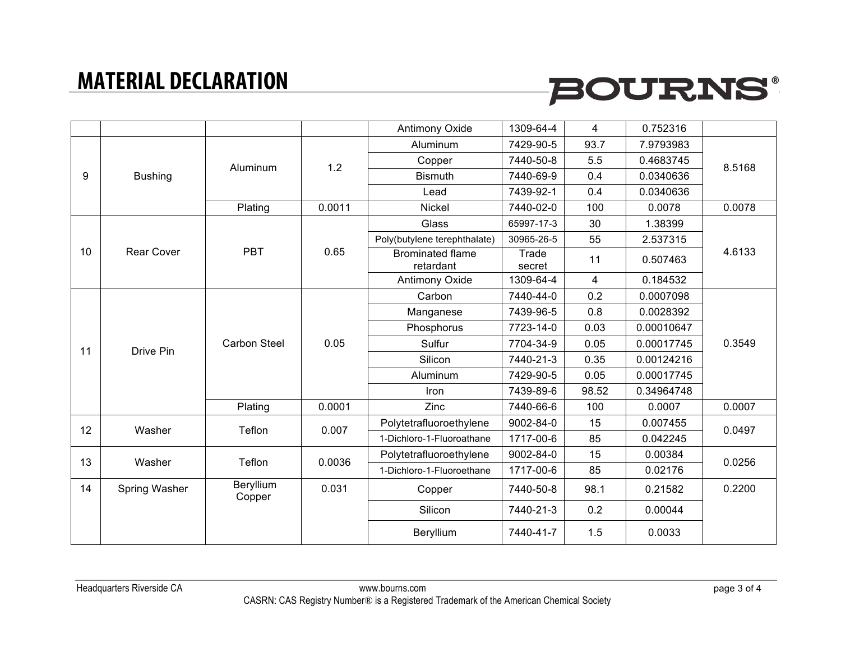# **BOURNS®**

|    |                   |                     |        | Antimony Oxide                       | 1309-64-4       | 4     | 0.752316   |        |
|----|-------------------|---------------------|--------|--------------------------------------|-----------------|-------|------------|--------|
| 9  | <b>Bushing</b>    | Aluminum            | 1.2    | Aluminum                             | 7429-90-5       | 93.7  | 7.9793983  | 8.5168 |
|    |                   |                     |        | Copper                               | 7440-50-8       | 5.5   | 0.4683745  |        |
|    |                   |                     |        | <b>Bismuth</b>                       | 7440-69-9       | 0.4   | 0.0340636  |        |
|    |                   |                     |        | Lead                                 | 7439-92-1       | 0.4   | 0.0340636  |        |
|    |                   | Plating             | 0.0011 | Nickel                               | 7440-02-0       | 100   | 0.0078     | 0.0078 |
|    |                   |                     |        | Glass                                | 65997-17-3      | 30    | 1.38399    |        |
|    | <b>Rear Cover</b> | <b>PBT</b>          | 0.65   | Poly(butylene terephthalate)         | 30965-26-5      | 55    | 2.537315   | 4.6133 |
| 10 |                   |                     |        | <b>Brominated flame</b><br>retardant | Trade<br>secret | 11    | 0.507463   |        |
|    |                   |                     |        | <b>Antimony Oxide</b>                | 1309-64-4       | 4     | 0.184532   |        |
|    | Drive Pin         | <b>Carbon Steel</b> | 0.05   | Carbon                               | 7440-44-0       | 0.2   | 0.0007098  | 0.3549 |
|    |                   |                     |        | Manganese                            | 7439-96-5       | 0.8   | 0.0028392  |        |
|    |                   |                     |        | Phosphorus                           | 7723-14-0       | 0.03  | 0.00010647 |        |
| 11 |                   |                     |        | Sulfur                               | 7704-34-9       | 0.05  | 0.00017745 |        |
|    |                   |                     |        | Silicon                              | 7440-21-3       | 0.35  | 0.00124216 |        |
|    |                   |                     |        | Aluminum                             | 7429-90-5       | 0.05  | 0.00017745 |        |
|    |                   |                     |        | Iron                                 | 7439-89-6       | 98.52 | 0.34964748 |        |
|    |                   | Plating             | 0.0001 | Zinc                                 | 7440-66-6       | 100   | 0.0007     | 0.0007 |
| 12 | Washer            | Teflon              | 0.007  | Polytetrafluoroethylene              | 9002-84-0       | 15    | 0.007455   | 0.0497 |
|    |                   |                     |        | 1-Dichloro-1-Fluoroathane            | 1717-00-6       | 85    | 0.042245   |        |
| 13 | Washer            | Teflon              | 0.0036 | Polytetrafluoroethylene              | 9002-84-0       | 15    | 0.00384    | 0.0256 |
|    |                   |                     |        | 1-Dichloro-1-Fluoroethane            | 1717-00-6       | 85    | 0.02176    |        |
| 14 | Spring Washer     | Beryllium<br>Copper | 0.031  | Copper                               | 7440-50-8       | 98.1  | 0.21582    | 0.2200 |
|    |                   |                     |        | Silicon                              | 7440-21-3       | 0.2   | 0.00044    |        |
|    |                   |                     |        | Beryllium                            | 7440-41-7       | 1.5   | 0.0033     |        |